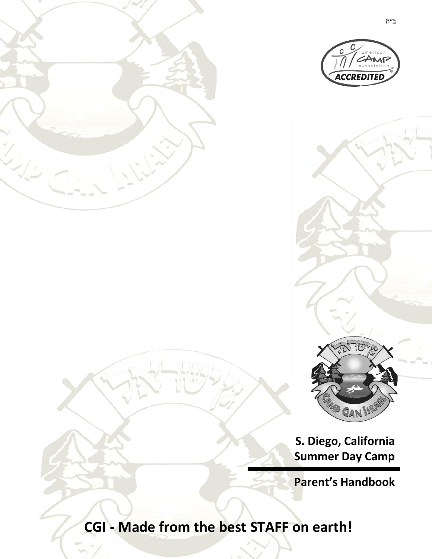<span id="page-0-0"></span>





**S. Diego, California Summer Day Camp**

**Parent's Handbook**

**CGI - Made from the best STAFF on earth!**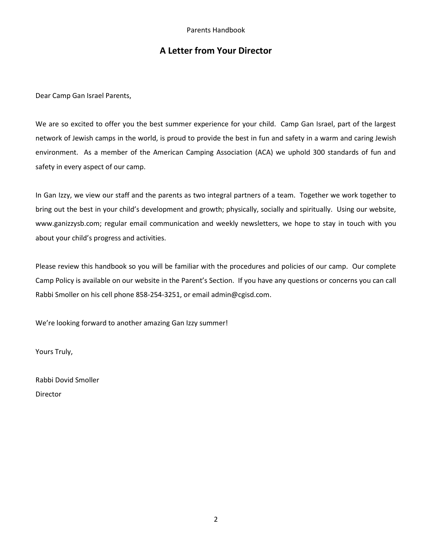#### Parents Handbook

### **A Letter from Your Director**

Dear Camp Gan Israel Parents,

We are so excited to offer you the best summer experience for your child. Camp Gan Israel, part of the largest network of Jewish camps in the world, is proud to provide the best in fun and safety in a warm and caring Jewish environment. As a member of the American Camping Association (ACA) we uphold 300 standards of fun and safety in every aspect of our camp.

In Gan Izzy, we view our staff and the parents as two integral partners of a team. Together we work together to bring out the best in your child's development and growth; physically, socially and spiritually. Using our website, www.ganizzysb.com; regular email communication and weekly newsletters, we hope to stay in touch with you about your child's progress and activities.

Please review this handbook so you will be familiar with the procedures and policies of our camp. Our complete Camp Policy is available on our website in the Parent's Section. If you have any questions or concerns you can call Rabbi Smoller on his cell phone 858-254-3251, or email admin@cgisd.com.

We're looking forward to another amazing Gan Izzy summer!

Yours Truly,

Rabbi Dovid Smoller Director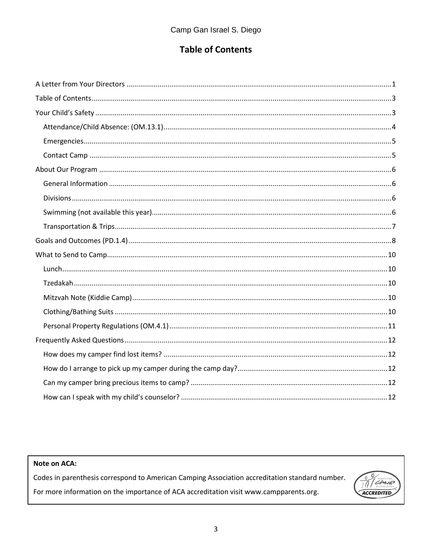# **Table of Contents**

<span id="page-2-0"></span>

### <span id="page-2-1"></span>Note on ACA:

Codes in parenthesis correspond to American Camping Association accreditation standard number. For more information on the importance of ACA accreditation visit www.campparents.org.

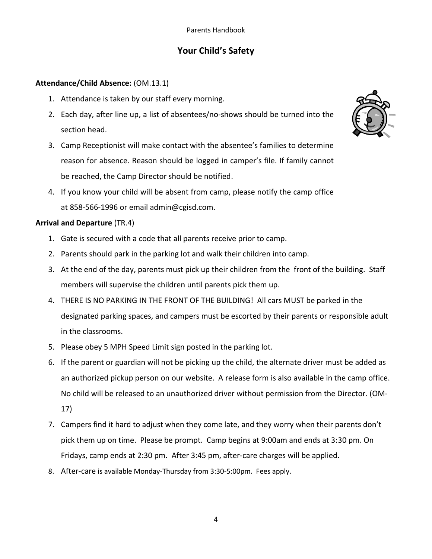## **Your Child's Safety**

### <span id="page-3-0"></span>**Attendance/Child Absence:** (OM.13.1)

- 1. Attendance is taken by our staff every morning.
- 2. Each day, after line up, a list of absentees/no-shows should be turned into the section head.
- 3. Camp Receptionist will make contact with the absentee's families to determine reason for absence. Reason should be logged in camper's file. If family cannot be reached, the Camp Director should be notified.
- 4. If you know your child will be absent from camp, please notify the camp office at 858-566-1996 or email admin@cgisd.com.

### **Arrival and Departure** (TR.4)

- 1. Gate is secured with a code that all parents receive prior to camp.
- 2. Parents should park in the parking lot and walk their children into camp.
- 3. At the end of the day, parents must pick up their children from the front of the building. Staff members will supervise the children until parents pick them up.
- 4. THERE IS NO PARKING IN THE FRONT OF THE BUILDING! All cars MUST be parked in the designated parking spaces, and campers must be escorted by their parents or responsible adult in the classrooms.
- 5. Please obey 5 MPH Speed Limit sign posted in the parking lot.
- 6. If the parent or guardian will not be picking up the child, the alternate driver must be added as an authorized pickup person on our website. A release form is also available in the camp office. No child will be released to an unauthorized driver without permission from the Director. (OM-17)
- 7. Campers find it hard to adjust when they come late, and they worry when their parents don't pick them up on time. Please be prompt. Camp begins at 9:00am and ends at 3:30 pm. On Fridays, camp ends at 2:30 pm. After 3:45 pm, after-care charges will be applied.
- 8. After-care is available Monday-Thursday from 3:30-5:00pm. Fees apply.



4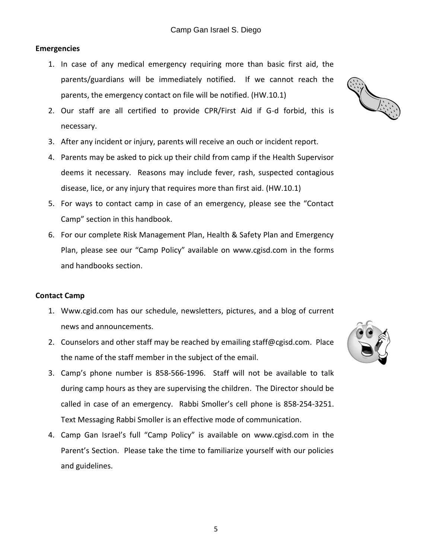### <span id="page-4-0"></span>**Emergencies**

- 1. In case of any medical emergency requiring more than basic first aid, the parents/guardians will be immediately notified. If we cannot reach the parents, the emergency contact on file will be notified. (HW.10.1)
- 2. Our staff are all certified to provide CPR/First Aid if G-d forbid, this is necessary.
- 3. After any incident or injury, parents will receive an ouch or incident report.
- 4. Parents may be asked to pick up their child from camp if the Health Supervisor deems it necessary. Reasons may include fever, rash, suspected contagious disease, lice, or any injury that requires more than first aid. (HW.10.1)
- 5. For ways to contact camp in case of an emergency, please see the "Contact Camp" section in this handbook.
- 6. For our complete Risk Management Plan, Health & Safety Plan and Emergency Plan, please see our "Camp Policy" available on www.cgisd.com in the forms and handbooks section.

#### <span id="page-4-1"></span>**Contact Camp**

- 1. Www.cgid.com has our schedule, newsletters, pictures, and a blog of current news and announcements.
- 2. Counselors and other staff may be reached by emailing staff@cgisd.com. Place the name of the staff member in the subject of the email.
- 3. Camp's phone number is 858-566-1996. Staff will not be available to talk during camp hours as they are supervising the children. The Director should be called in case of an emergency. Rabbi Smoller's cell phone is 858-254-3251. Text Messaging Rabbi Smoller is an effective mode of communication.
- 4. Camp Gan Israel's full "Camp Policy" is available on www.cgisd.com in the Parent's Section. Please take the time to familiarize yourself with our policies and guidelines.

5



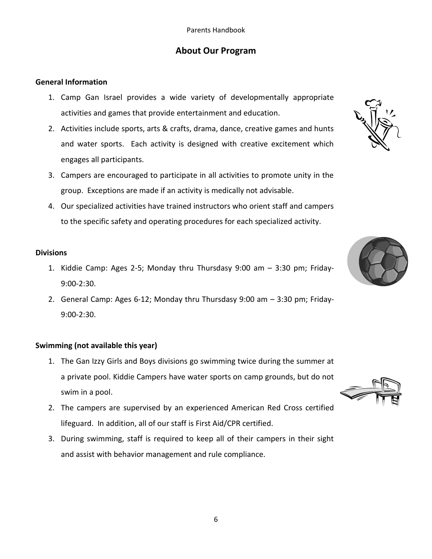## **About Our Program**

### <span id="page-5-1"></span><span id="page-5-0"></span>**General Information**

- 1. Camp Gan Israel provides a wide variety of developmentally appropriate activities and games that provide entertainment and education.
- 2. Activities include sports, arts & crafts, drama, dance, creative games and hunts and water sports. Each activity is designed with creative excitement which engages all participants.
- 3. Campers are encouraged to participate in all activities to promote unity in the group. Exceptions are made if an activity is medically not advisable.
- 4. Our specialized activities have trained instructors who orient staff and campers to the specific safety and operating procedures for each specialized activity.

### <span id="page-5-2"></span>**Divisions**

- 1. Kiddie Camp: Ages 2-5; Monday thru Thursdasy 9:00 am 3:30 pm; Friday-9:00-2:30.
- 2. General Camp: Ages 6-12; Monday thru Thursdasy 9:00 am 3:30 pm; Friday-9:00-2:30.

### <span id="page-5-3"></span>**Swimming (not available this year)**

- 1. The Gan Izzy Girls and Boys divisions go swimming twice during the summer at a private pool. Kiddie Campers have water sports on camp grounds, but do not swim in a pool.
- 2. The campers are supervised by an experienced American Red Cross certified lifeguard. In addition, all of our staff is First Aid/CPR certified.
- 3. During swimming, staff is required to keep all of their campers in their sight and assist with behavior management and rule compliance.





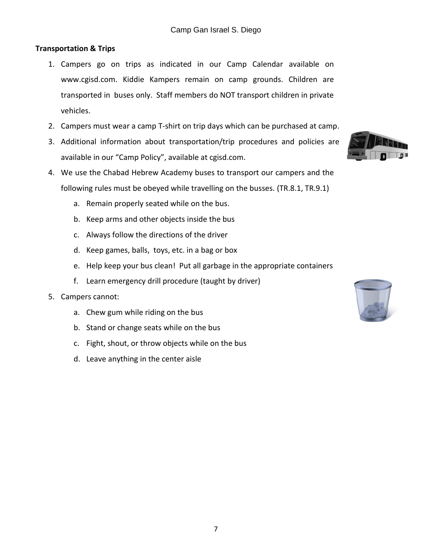### <span id="page-6-0"></span>**Transportation & Trips**

- 1. Campers go on trips as indicated in our Camp Calendar available on www.cgisd.com. Kiddie Kampers remain on camp grounds. Children are transported in buses only. Staff members do NOT transport children in private vehicles.
- 2. Campers must wear a camp T-shirt on trip days which can be purchased at camp.
- 3. Additional information about transportation/trip procedures and policies are available in our "Camp Policy", available at cgisd.com.
- 4. We use the Chabad Hebrew Academy buses to transport our campers and the following rules must be obeyed while travelling on the busses. (TR.8.1, TR.9.1)
	- a. Remain properly seated while on the bus.
	- b. Keep arms and other objects inside the bus
	- c. Always follow the directions of the driver
	- d. Keep games, balls, toys, etc. in a bag or box
	- e. Help keep your bus clean! Put all garbage in the appropriate containers
	- f. Learn emergency drill procedure (taught by driver)
- 5. Campers cannot:
	- a. Chew gum while riding on the bus
	- b. Stand or change seats while on the bus
	- c. Fight, shout, or throw objects while on the bus
	- d. Leave anything in the center aisle



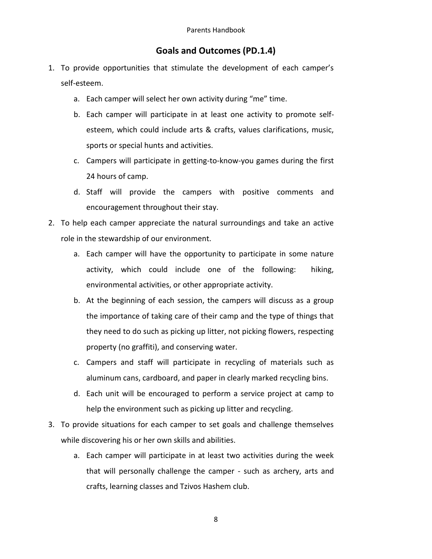## **Goals and Outcomes (PD.1.4)**

- <span id="page-7-0"></span>1. To provide opportunities that stimulate the development of each camper's self-esteem.
	- a. Each camper will select her own activity during "me" time.
	- b. Each camper will participate in at least one activity to promote selfesteem, which could include arts & crafts, values clarifications, music, sports or special hunts and activities.
	- c. Campers will participate in getting-to-know-you games during the first 24 hours of camp.
	- d. Staff will provide the campers with positive comments and encouragement throughout their stay.
- 2. To help each camper appreciate the natural surroundings and take an active role in the stewardship of our environment.
	- a. Each camper will have the opportunity to participate in some nature activity, which could include one of the following: hiking, environmental activities, or other appropriate activity.
	- b. At the beginning of each session, the campers will discuss as a group the importance of taking care of their camp and the type of things that they need to do such as picking up litter, not picking flowers, respecting property (no graffiti), and conserving water.
	- c. Campers and staff will participate in recycling of materials such as aluminum cans, cardboard, and paper in clearly marked recycling bins.
	- d. Each unit will be encouraged to perform a service project at camp to help the environment such as picking up litter and recycling.
- 3. To provide situations for each camper to set goals and challenge themselves while discovering his or her own skills and abilities.
	- a. Each camper will participate in at least two activities during the week that will personally challenge the camper - such as archery, arts and crafts, learning classes and Tzivos Hashem club.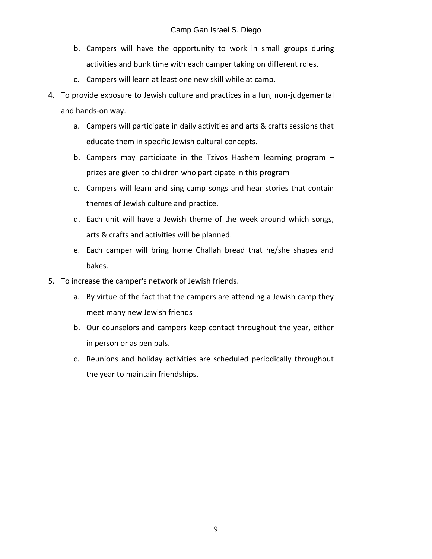- b. Campers will have the opportunity to work in small groups during activities and bunk time with each camper taking on different roles.
- c. Campers will learn at least one new skill while at camp.
- 4. To provide exposure to Jewish culture and practices in a fun, non-judgemental and hands-on way.
	- a. Campers will participate in daily activities and arts & crafts sessions that educate them in specific Jewish cultural concepts.
	- b. Campers may participate in the Tzivos Hashem learning program prizes are given to children who participate in this program
	- c. Campers will learn and sing camp songs and hear stories that contain themes of Jewish culture and practice.
	- d. Each unit will have a Jewish theme of the week around which songs, arts & crafts and activities will be planned.
	- e. Each camper will bring home Challah bread that he/she shapes and bakes.
- 5. To increase the camper's network of Jewish friends.
	- a. By virtue of the fact that the campers are attending a Jewish camp they meet many new Jewish friends
	- b. Our counselors and campers keep contact throughout the year, either in person or as pen pals.
	- c. Reunions and holiday activities are scheduled periodically throughout the year to maintain friendships.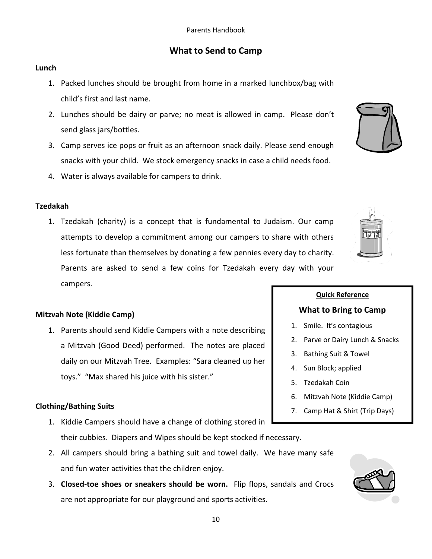## **What to Send to Camp**

#### <span id="page-9-1"></span><span id="page-9-0"></span>**Lunch**

- 1. Packed lunches should be brought from home in a marked lunchbox/bag with child's first and last name.
- 2. Lunches should be dairy or parve; no meat is allowed in camp. Please don't send glass jars/bottles.
- 3. Camp serves ice pops or fruit as an afternoon snack daily. Please send enough snacks with your child. We stock emergency snacks in case a child needs food.
- 4. Water is always available for campers to drink.

### <span id="page-9-2"></span>**Tzedakah**

1. Tzedakah (charity) is a concept that is fundamental to Judaism. Our camp attempts to develop a commitment among our campers to share with others less fortunate than themselves by donating a few pennies every day to charity. Parents are asked to send a few coins for Tzedakah every day with your campers.

#### <span id="page-9-3"></span>**Mitzvah Note (Kiddie Camp)**

1. Parents should send Kiddie Campers with a note describing a Mitzvah (Good Deed) performed. The notes are placed daily on our Mitzvah Tree. Examples: "Sara cleaned up her toys." "Max shared his juice with his sister."

### <span id="page-9-4"></span>**Clothing/Bathing Suits**

- 1. Kiddie Campers should have a change of clothing stored in their cubbies. Diapers and Wipes should be kept stocked if necessary.
- 2. All campers should bring a bathing suit and towel daily. We have many safe and fun water activities that the children enjoy.
- 3. **Closed-toe shoes or sneakers should be worn.** Flip flops, sandals and Crocs are not appropriate for our playground and sports activities.



#### **Quick Reference**

#### **What to Bring to Camp**

- 1. Smile. It's contagious
- 2. Parve or Dairy Lunch & Snacks
- 3. Bathing Suit & Towel
- 4. Sun Block; applied
- 5. Tzedakah Coin
- 6. Mitzvah Note (Kiddie Camp)
- 7. Camp Hat & Shirt (Trip Days)



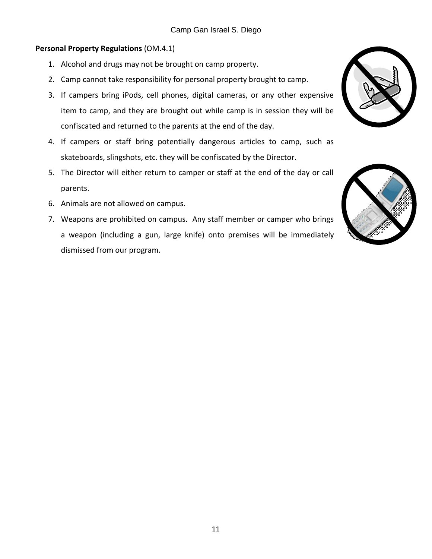### <span id="page-10-0"></span>**Personal Property Regulations** (OM.4.1)

- 1. Alcohol and drugs may not be brought on camp property.
- 2. Camp cannot take responsibility for personal property brought to camp.
- 3. If campers bring iPods, cell phones, digital cameras, or any other expensive item to camp, and they are brought out while camp is in session they will be confiscated and returned to the parents at the end of the day.
- 4. If campers or staff bring potentially dangerous articles to camp, such as skateboards, slingshots, etc. they will be confiscated by the Director.
- 5. The Director will either return to camper or staff at the end of the day or call parents.
- 6. Animals are not allowed on campus.
- 7. Weapons are prohibited on campus. Any staff member or camper who brings a weapon (including a gun, large knife) onto premises will be immediately dismissed from our program.



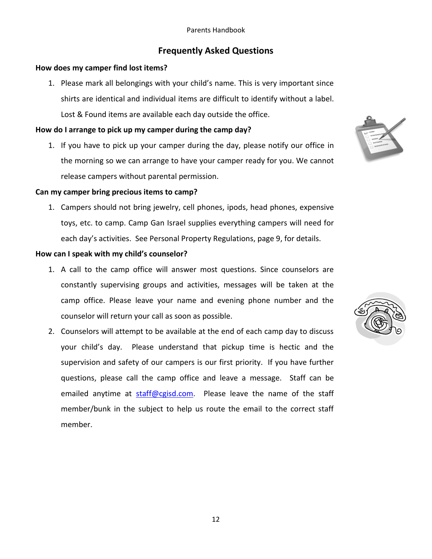## **Frequently Asked Questions**

### <span id="page-11-1"></span><span id="page-11-0"></span>**How does my camper find lost items?**

1. Please mark all belongings with your child's name. This is very important since shirts are identical and individual items are difficult to identify without a label. Lost & Found items are available each day outside the office.

### <span id="page-11-2"></span>**How do I arrange to pick up my camper during the camp day?**

1. If you have to pick up your camper during the day, please notify our office in the morning so we can arrange to have your camper ready for you. We cannot release campers without parental permission.

#### <span id="page-11-3"></span>**Can my camper bring precious items to camp?**

1. Campers should not bring jewelry, cell phones, ipods, head phones, expensive toys, etc. to camp. Camp Gan Israel supplies everything campers will need for each day's activities. See Personal Property Regulations, page 9, for details.

#### <span id="page-11-4"></span>**How can I speak with my child's counselor?**

- 1. A call to the camp office will answer most questions. Since counselors are constantly supervising groups and activities, messages will be taken at the camp office. Please leave your name and evening phone number and the counselor will return your call as soon as possible.
- 2. Counselors will attempt to be available at the end of each camp day to discuss your child's day. Please understand that pickup time is hectic and the supervision and safety of our campers is our first priority. If you have further questions, please call the camp office and leave a message. Staff can be emailed anytime at [staff@cgisd.com.](mailto:staff@cgisd.com) Please leave the name of the staff member/bunk in the subject to help us route the email to the correct staff member.



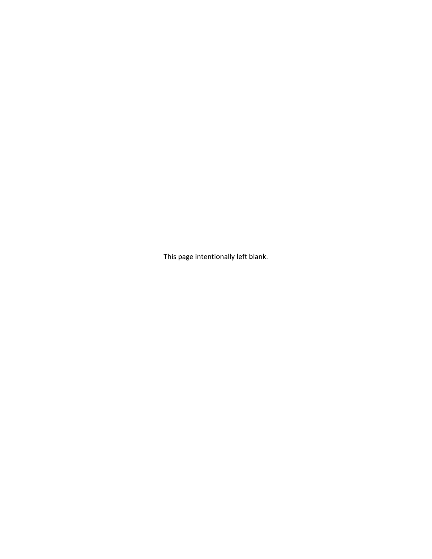This page intentionally left blank.